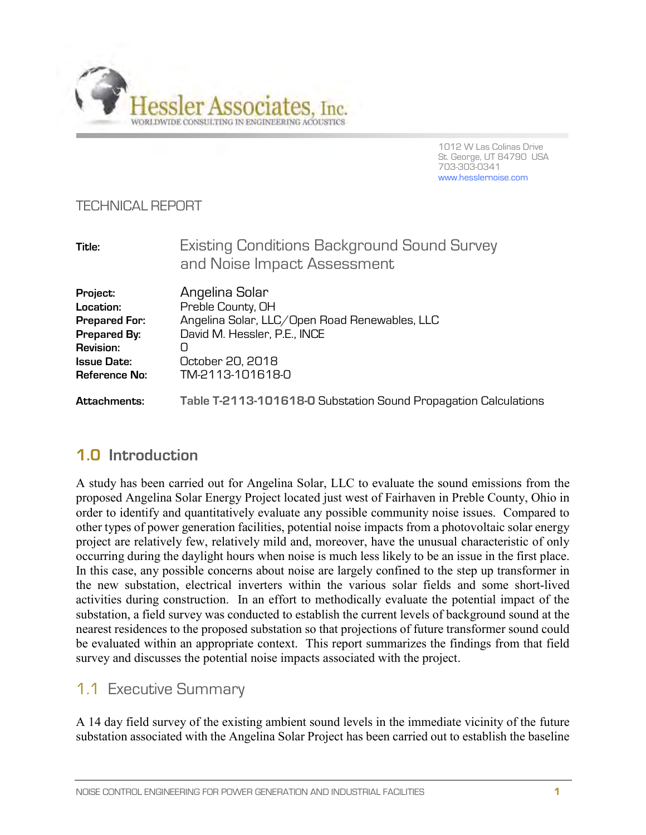

1012 W Las Colinas Drive St. George, UT 84790 USA 703-303-0341 www.hesslernoise.com

#### TECHNICAL REPORT

| Title:                                                                                                                          | Existing Conditions Background Sound Survey<br>and Noise Impact Assessment                                                                                        |
|---------------------------------------------------------------------------------------------------------------------------------|-------------------------------------------------------------------------------------------------------------------------------------------------------------------|
| Project:<br>Location:<br><b>Prepared For:</b><br>Prepared By:<br><b>Revision:</b><br><b>Issue Date:</b><br><b>Reference No:</b> | Angelina Solar<br>Preble County, OH<br>Angelina Solar, LLC/Open Road Renewables, LLC<br>David M. Hessler, P.E., INCE<br>Ω<br>October 20, 2018<br>TM-2113-101618-0 |
| Attachments:                                                                                                                    | Table T-2113-101618-0 Substation Sound Propagation Calculations                                                                                                   |

## **1.0 Introduction**

A study has been carried out for Angelina Solar, LLC to evaluate the sound emissions from the proposed Angelina Solar Energy Project located just west of Fairhaven in Preble County, Ohio in order to identify and quantitatively evaluate any possible community noise issues. Compared to other types of power generation facilities, potential noise impacts from a photovoltaic solar energy project are relatively few, relatively mild and, moreover, have the unusual characteristic of only occurring during the daylight hours when noise is much less likely to be an issue in the first place. In this case, any possible concerns about noise are largely confined to the step up transformer in the new substation, electrical inverters within the various solar fields and some short-lived activities during construction. In an effort to methodically evaluate the potential impact of the substation, a field survey was conducted to establish the current levels of background sound at the nearest residences to the proposed substation so that projections of future transformer sound could be evaluated within an appropriate context. This report summarizes the findings from that field survey and discusses the potential noise impacts associated with the project.

## 1.1 Executive Summary

A 14 day field survey of the existing ambient sound levels in the immediate vicinity of the future substation associated with the Angelina Solar Project has been carried out to establish the baseline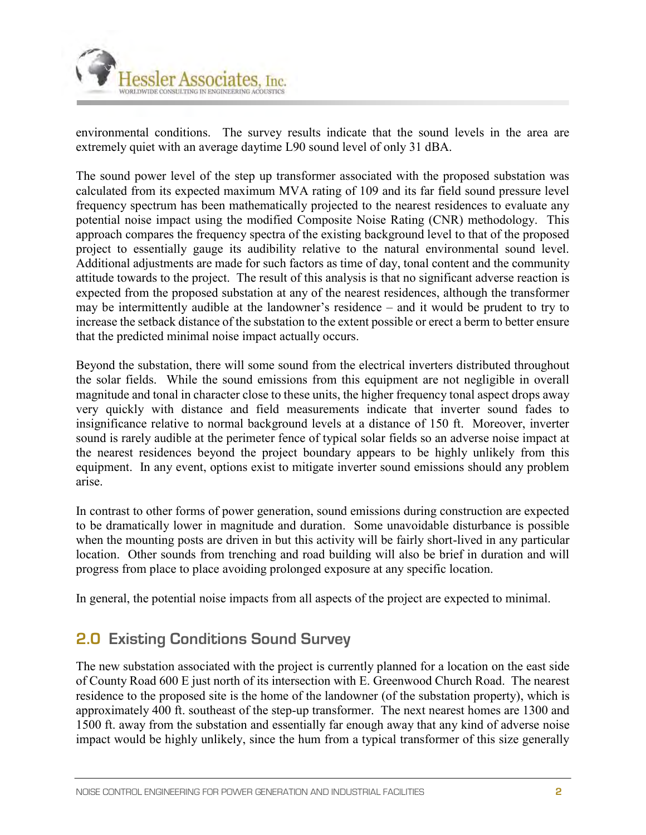

environmental conditions. The survey results indicate that the sound levels in the area are extremely quiet with an average daytime L90 sound level of only 31 dBA.

The sound power level of the step up transformer associated with the proposed substation was calculated from its expected maximum MVA rating of 109 and its far field sound pressure level frequency spectrum has been mathematically projected to the nearest residences to evaluate any potential noise impact using the modified Composite Noise Rating (CNR) methodology. This approach compares the frequency spectra of the existing background level to that of the proposed project to essentially gauge its audibility relative to the natural environmental sound level. Additional adjustments are made for such factors as time of day, tonal content and the community attitude towards to the project. The result of this analysis is that no significant adverse reaction is expected from the proposed substation at any of the nearest residences, although the transformer may be intermittently audible at the landowner's residence – and it would be prudent to try to increase the setback distance of the substation to the extent possible or erect a berm to better ensure that the predicted minimal noise impact actually occurs.

Beyond the substation, there will some sound from the electrical inverters distributed throughout the solar fields. While the sound emissions from this equipment are not negligible in overall magnitude and tonal in character close to these units, the higher frequency tonal aspect drops away very quickly with distance and field measurements indicate that inverter sound fades to insignificance relative to normal background levels at a distance of 150 ft. Moreover, inverter sound is rarely audible at the perimeter fence of typical solar fields so an adverse noise impact at the nearest residences beyond the project boundary appears to be highly unlikely from this equipment. In any event, options exist to mitigate inverter sound emissions should any problem arise.

In contrast to other forms of power generation, sound emissions during construction are expected to be dramatically lower in magnitude and duration. Some unavoidable disturbance is possible when the mounting posts are driven in but this activity will be fairly short-lived in any particular location. Other sounds from trenching and road building will also be brief in duration and will progress from place to place avoiding prolonged exposure at any specific location.

In general, the potential noise impacts from all aspects of the project are expected to minimal.

## **2.0 Existing Conditions Sound Survey**

The new substation associated with the project is currently planned for a location on the east side of County Road 600 E just north of its intersection with E. Greenwood Church Road. The nearest residence to the proposed site is the home of the landowner (of the substation property), which is approximately 400 ft. southeast of the step-up transformer. The next nearest homes are 1300 and 1500 ft. away from the substation and essentially far enough away that any kind of adverse noise impact would be highly unlikely, since the hum from a typical transformer of this size generally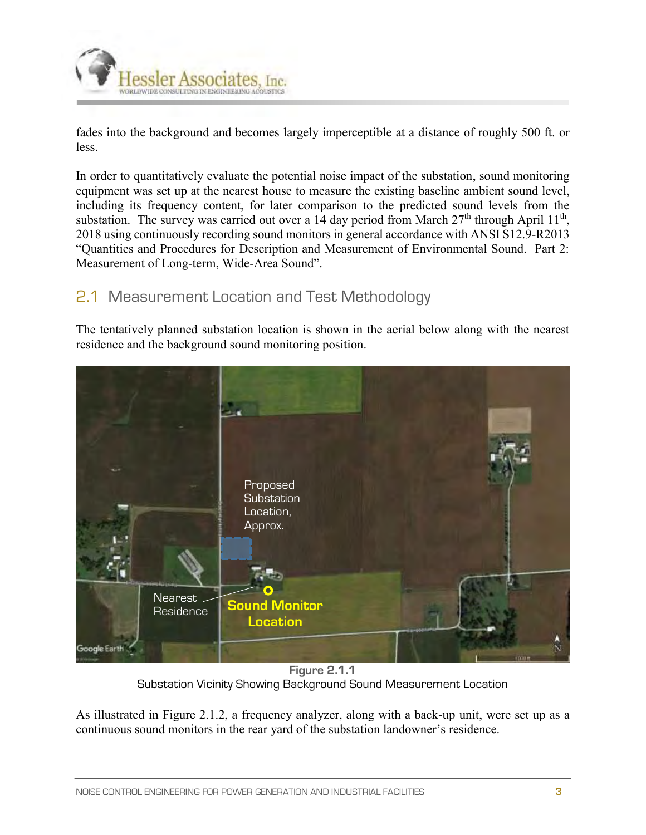

fades into the background and becomes largely imperceptible at a distance of roughly 500 ft. or less.

In order to quantitatively evaluate the potential noise impact of the substation, sound monitoring equipment was set up at the nearest house to measure the existing baseline ambient sound level, including its frequency content, for later comparison to the predicted sound levels from the substation. The survey was carried out over a 14 day period from March  $27<sup>th</sup>$  through April  $11<sup>th</sup>$ , 2018 using continuously recording sound monitors in general accordance with ANSI S12.9-R2013 "Quantities and Procedures for Description and Measurement of Environmental Sound. Part 2: Measurement of Long-term, Wide-Area Sound".

## 2.1 Measurement Location and Test Methodology

The tentatively planned substation location is shown in the aerial below along with the nearest residence and the background sound monitoring position.



**Figure 2.1.1** Substation Vicinity Showing Background Sound Measurement Location

As illustrated in Figure 2.1.2, a frequency analyzer, along with a back-up unit, were set up as a continuous sound monitors in the rear yard of the substation landowner's residence.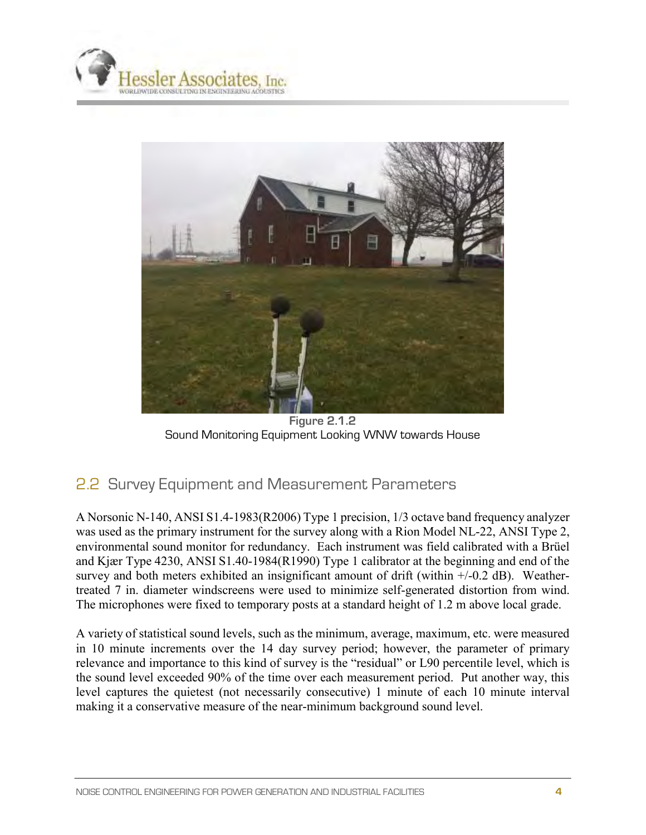



**Figure 2.1.2** Sound Monitoring Equipment Looking WNW towards House

## 2.2 Survey Equipment and Measurement Parameters

A Norsonic N-140, ANSI S1.4-1983(R2006) Type 1 precision, 1/3 octave band frequency analyzer was used as the primary instrument for the survey along with a Rion Model NL-22, ANSI Type 2, environmental sound monitor for redundancy. Each instrument was field calibrated with a Brüel and Kjær Type 4230, ANSI S1.40-1984(R1990) Type 1 calibrator at the beginning and end of the survey and both meters exhibited an insignificant amount of drift (within  $+/-0.2$  dB). Weathertreated 7 in. diameter windscreens were used to minimize self-generated distortion from wind. The microphones were fixed to temporary posts at a standard height of 1.2 m above local grade.

A variety of statistical sound levels, such as the minimum, average, maximum, etc. were measured in 10 minute increments over the 14 day survey period; however, the parameter of primary relevance and importance to this kind of survey is the "residual" or L90 percentile level, which is the sound level exceeded 90% of the time over each measurement period. Put another way, this level captures the quietest (not necessarily consecutive) 1 minute of each 10 minute interval making it a conservative measure of the near-minimum background sound level.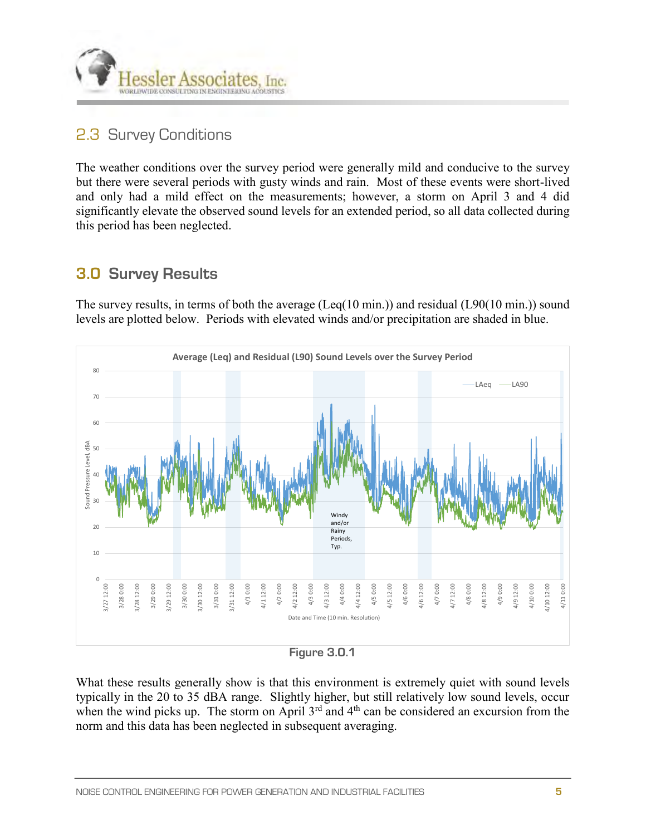

## 2.3 Survey Conditions

The weather conditions over the survey period were generally mild and conducive to the survey but there were several periods with gusty winds and rain. Most of these events were short-lived and only had a mild effect on the measurements; however, a storm on April 3 and 4 did significantly elevate the observed sound levels for an extended period, so all data collected during this period has been neglected.

## **3.0 Survey Results**

The survey results, in terms of both the average (Leq(10 min.)) and residual (L90(10 min.)) sound levels are plotted below. Periods with elevated winds and/or precipitation are shaded in blue.



**Figure 3.0.1**

What these results generally show is that this environment is extremely quiet with sound levels typically in the 20 to 35 dBA range. Slightly higher, but still relatively low sound levels, occur when the wind picks up. The storm on April  $3<sup>rd</sup>$  and  $4<sup>th</sup>$  can be considered an excursion from the norm and this data has been neglected in subsequent averaging.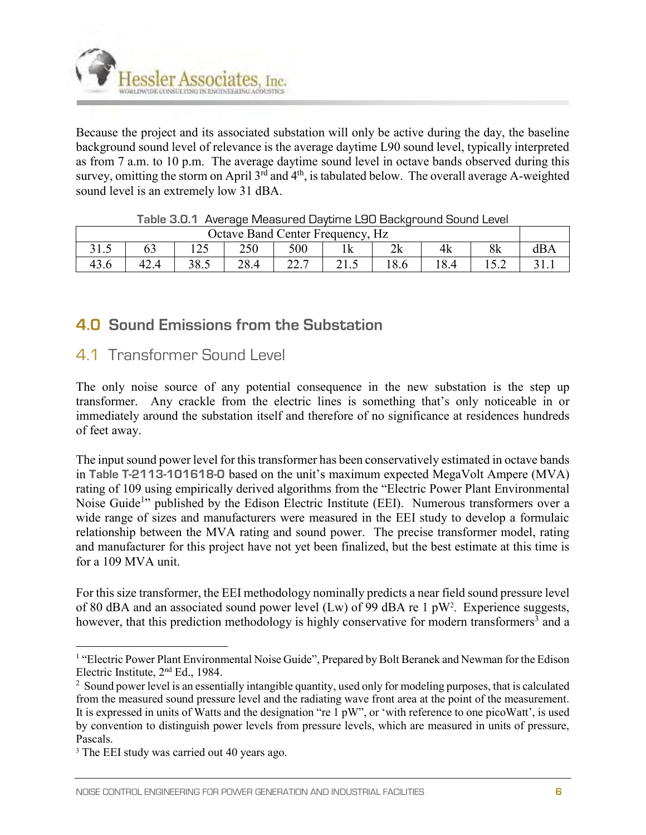

Because the project and its associated substation will only be active during the day, the baseline background sound level of relevance is the average daytime L90 sound level, typically interpreted as from 7 a.m. to 10 p.m. The average daytime sound level in octave bands observed during this survey, omitting the storm on April  $3^{rd}$  and  $4^{th}$ , is tabulated below. The overall average A-weighted sound level is an extremely low 31 dBA.

| Octave Band Center Frequency, Hz |      |                     |      |                       |      |          |      |    |       |  |  |
|----------------------------------|------|---------------------|------|-----------------------|------|----------|------|----|-------|--|--|
| ن. 1 ب                           | ບປ   | $\Delta$ $\epsilon$ | 250  | 500                   | 1 IX | 21<br>ΖA | 4k   | 8k |       |  |  |
| 49.0                             | 42.4 | 38.5                | 28.4 | $\sim$ $\sim$<br>44.1 | 41.J | $\circ$  | 18.4 |    | J 1.1 |  |  |

## **4.0 Sound Emissions from the Substation**

### 4.1 Transformer Sound Level

The only noise source of any potential consequence in the new substation is the step up transformer. Any crackle from the electric lines is something that's only noticeable in or immediately around the substation itself and therefore of no significance at residences hundreds of feet away.

The input sound power level for this transformer has been conservatively estimated in octave bands in **Table T-2113-101618-0** based on the unit's maximum expected MegaVolt Ampere (MVA) rating of 109 using empirically derived algorithms from the "Electric Power Plant Environmental Noise Guide<sup>1</sup>" published by the Edison Electric Institute (EEI). Numerous transformers over a wide range of sizes and manufacturers were measured in the EEI study to develop a formulaic relationship between the MVA rating and sound power. The precise transformer model, rating and manufacturer for this project have not yet been finalized, but the best estimate at this time is for a 109 MVA unit.

For this size transformer, the EEI methodology nominally predicts a near field sound pressure level of 80 dBA and an associated sound power level (Lw) of 99 dBA re 1  $pW^2$ . Experience suggests, however, that this prediction methodology is highly conservative for modern transformers<sup>3</sup> and a

 1 "Electric Power Plant Environmental Noise Guide", Prepared by Bolt Beranek and Newman for the Edison Electric Institute, 2nd Ed., 1984.

<sup>&</sup>lt;sup>2</sup> Sound power level is an essentially intangible quantity, used only for modeling purposes, that is calculated from the measured sound pressure level and the radiating wave front area at the point of the measurement. It is expressed in units of Watts and the designation "re 1 pW", or 'with reference to one picoWatt', is used by convention to distinguish power levels from pressure levels, which are measured in units of pressure, Pascals.

<sup>&</sup>lt;sup>3</sup> The EEI study was carried out 40 years ago.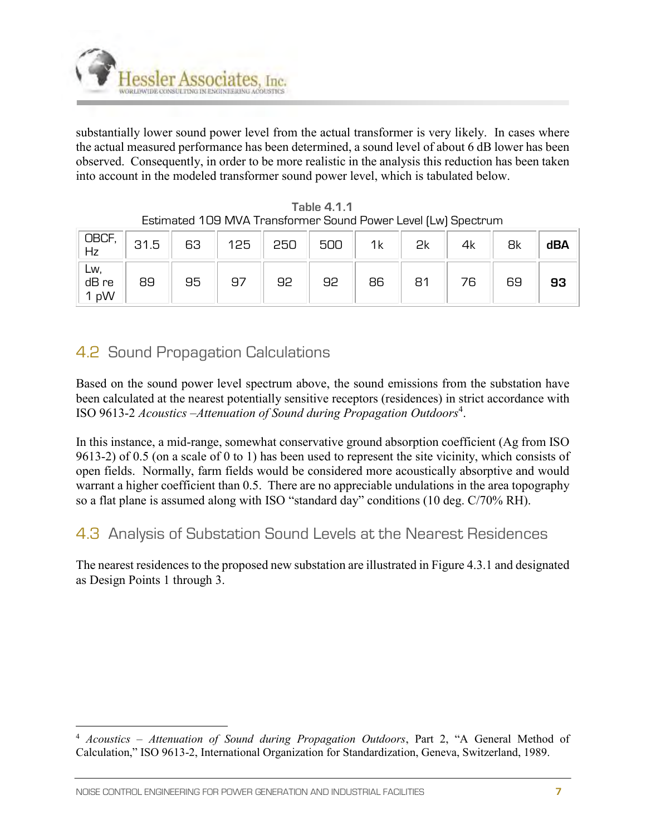

substantially lower sound power level from the actual transformer is very likely. In cases where the actual measured performance has been determined, a sound level of about 6 dB lower has been observed. Consequently, in order to be more realistic in the analysis this reduction has been taken into account in the modeled transformer sound power level, which is tabulated below.

| OBCF<br>Hz           | 31.5 | 63 | 125 | 250 | 500 | 1k | 2k | 4k | 8k | dBA |
|----------------------|------|----|-----|-----|-----|----|----|----|----|-----|
| Lw,<br>dB re<br>1 pW | 89   | 95 | 97  | 92  | 92  | 86 | 81 | 76 | 69 | 93  |

**Table 4.1.1**  Estimated 109 MVA Transformer Sound Power Level (Lw) Spectrum

# 4.2 Sound Propagation Calculations

Based on the sound power level spectrum above, the sound emissions from the substation have been calculated at the nearest potentially sensitive receptors (residences) in strict accordance with ISO 9613-2 Acoustics – Attenuation of Sound during Propagation Outdoors<sup>4</sup>.

In this instance, a mid-range, somewhat conservative ground absorption coefficient (Ag from ISO 9613-2) of 0.5 (on a scale of 0 to 1) has been used to represent the site vicinity, which consists of open fields. Normally, farm fields would be considered more acoustically absorptive and would warrant a higher coefficient than 0.5. There are no appreciable undulations in the area topography so a flat plane is assumed along with ISO "standard day" conditions (10 deg. C/70% RH).

## 4.3 Analysis of Substation Sound Levels at the Nearest Residences

The nearest residences to the proposed new substation are illustrated in Figure 4.3.1 and designated as Design Points 1 through 3.

 $\overline{a}$ 

<sup>4</sup> *Acoustics – Attenuation of Sound during Propagation Outdoors*, Part 2, "A General Method of Calculation," ISO 9613-2, International Organization for Standardization, Geneva, Switzerland, 1989.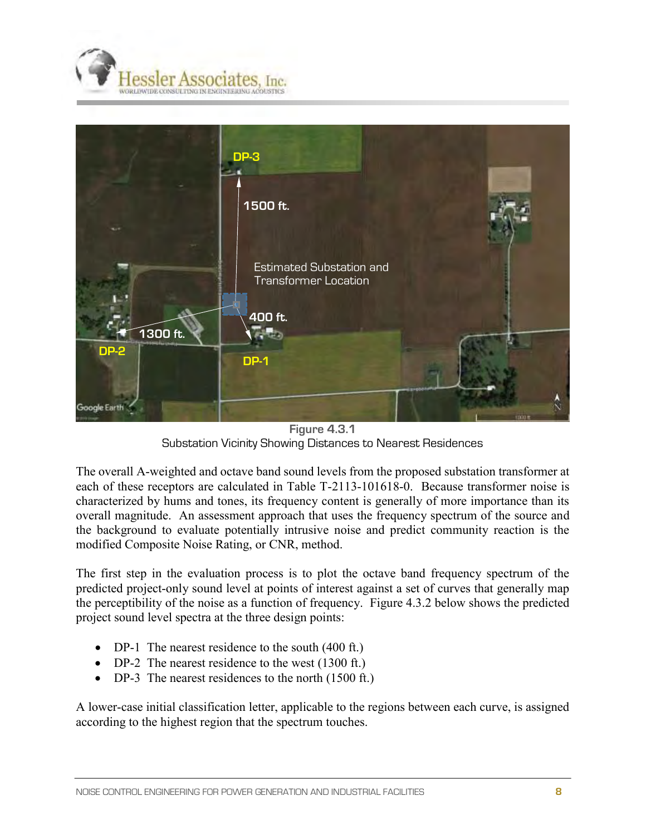



**Figure 4.3.1**  Substation Vicinity Showing Distances to Nearest Residences

The overall A-weighted and octave band sound levels from the proposed substation transformer at each of these receptors are calculated in Table T-2113-101618-0. Because transformer noise is characterized by hums and tones, its frequency content is generally of more importance than its overall magnitude. An assessment approach that uses the frequency spectrum of the source and the background to evaluate potentially intrusive noise and predict community reaction is the modified Composite Noise Rating, or CNR, method.

The first step in the evaluation process is to plot the octave band frequency spectrum of the predicted project-only sound level at points of interest against a set of curves that generally map the perceptibility of the noise as a function of frequency. Figure 4.3.2 below shows the predicted project sound level spectra at the three design points:

- DP-1 The nearest residence to the south (400 ft.)
- DP-2 The nearest residence to the west  $(1300 \text{ ft.})$
- DP-3 The nearest residences to the north (1500 ft.)

A lower-case initial classification letter, applicable to the regions between each curve, is assigned according to the highest region that the spectrum touches.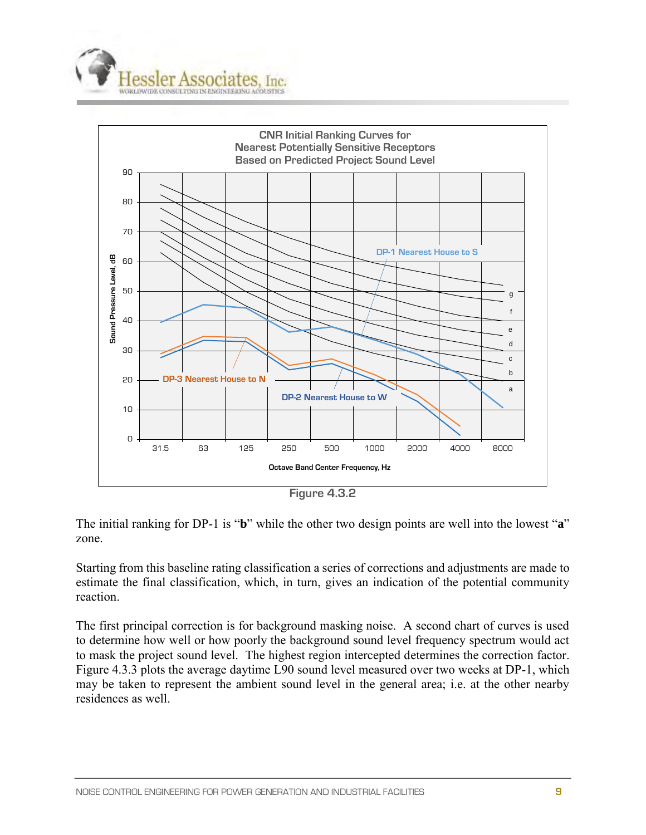



**Figure 4.3.2**

The initial ranking for DP-1 is "**b**" while the other two design points are well into the lowest "**a**" zone.

Starting from this baseline rating classification a series of corrections and adjustments are made to estimate the final classification, which, in turn, gives an indication of the potential community reaction.

The first principal correction is for background masking noise. A second chart of curves is used to determine how well or how poorly the background sound level frequency spectrum would act to mask the project sound level. The highest region intercepted determines the correction factor. Figure 4.3.3 plots the average daytime L90 sound level measured over two weeks at DP-1, which may be taken to represent the ambient sound level in the general area; i.e. at the other nearby residences as well.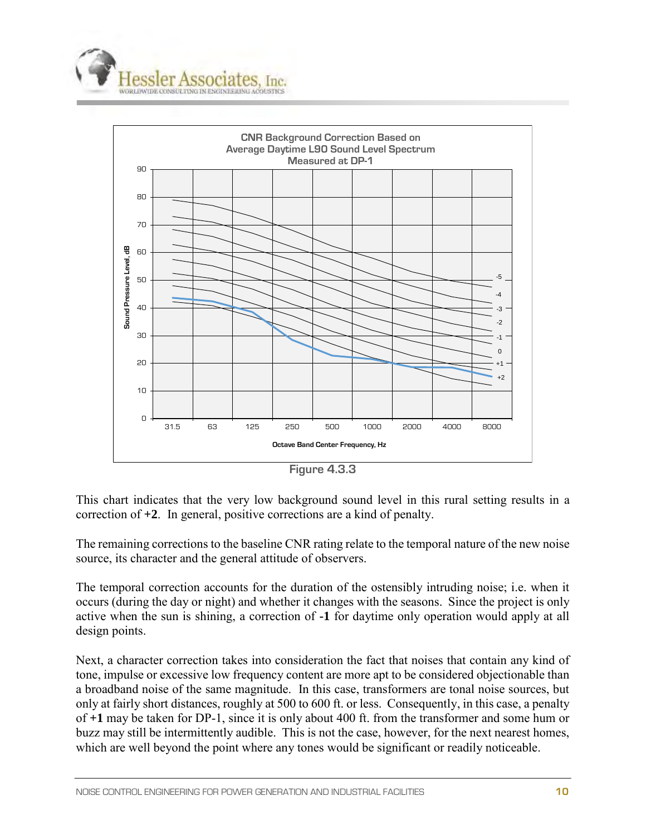



This chart indicates that the very low background sound level in this rural setting results in a correction of **+2**. In general, positive corrections are a kind of penalty.

The remaining corrections to the baseline CNR rating relate to the temporal nature of the new noise source, its character and the general attitude of observers.

The temporal correction accounts for the duration of the ostensibly intruding noise; i.e. when it occurs (during the day or night) and whether it changes with the seasons. Since the project is only active when the sun is shining, a correction of **-1** for daytime only operation would apply at all design points.

Next, a character correction takes into consideration the fact that noises that contain any kind of tone, impulse or excessive low frequency content are more apt to be considered objectionable than a broadband noise of the same magnitude. In this case, transformers are tonal noise sources, but only at fairly short distances, roughly at 500 to 600 ft. or less. Consequently, in this case, a penalty of **+1** may be taken for DP-1, since it is only about 400 ft. from the transformer and some hum or buzz may still be intermittently audible. This is not the case, however, for the next nearest homes, which are well beyond the point where any tones would be significant or readily noticeable.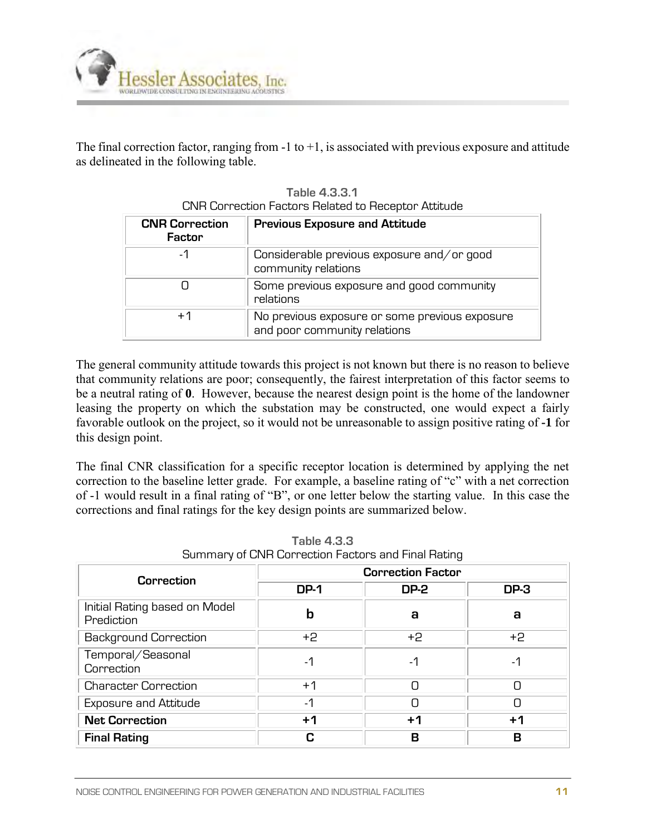

The final correction factor, ranging from  $-1$  to  $+1$ , is associated with previous exposure and attitude as delineated in the following table.

| <b>CNR Correction</b><br>Factor | <b>Previous Exposure and Attitude</b>                                          |
|---------------------------------|--------------------------------------------------------------------------------|
| -1                              | Considerable previous exposure and/or good<br>community relations              |
|                                 | Some previous exposure and good community<br>relations                         |
| $+1$                            | No previous exposure or some previous exposure<br>and poor community relations |

**Table 4.3.3.1** CNR Correction Factors Related to Receptor Attitude

The general community attitude towards this project is not known but there is no reason to believe that community relations are poor; consequently, the fairest interpretation of this factor seems to be a neutral rating of **0**. However, because the nearest design point is the home of the landowner leasing the property on which the substation may be constructed, one would expect a fairly favorable outlook on the project, so it would not be unreasonable to assign positive rating of **-1** for this design point.

The final CNR classification for a specific receptor location is determined by applying the net correction to the baseline letter grade. For example, a baseline rating of "c" with a net correction of -1 would result in a final rating of "B", or one letter below the starting value. In this case the corrections and final ratings for the key design points are summarized below.

| Correction                                  | <b>Correction Factor</b> |             |             |  |  |  |  |  |  |
|---------------------------------------------|--------------------------|-------------|-------------|--|--|--|--|--|--|
|                                             | <b>DP-1</b>              | <b>DP-2</b> | <b>DP-3</b> |  |  |  |  |  |  |
| Initial Rating based on Model<br>Prediction | b                        | а           | a           |  |  |  |  |  |  |
| <b>Background Correction</b>                | +2                       | +2          | $+2$        |  |  |  |  |  |  |
| Temporal/Seasonal<br>Correction             | -1                       | -1          | -1          |  |  |  |  |  |  |
| <b>Character Correction</b>                 | $+1$                     |             |             |  |  |  |  |  |  |
| <b>Exposure and Attitude</b>                | -1                       |             | ┌           |  |  |  |  |  |  |
| <b>Net Correction</b>                       | $+1$                     | $+1$        | $+1$        |  |  |  |  |  |  |
| <b>Final Rating</b>                         | r.                       | R           | в           |  |  |  |  |  |  |

**Table 4.3.3** Summary of CNR Correction Factors and Final Rating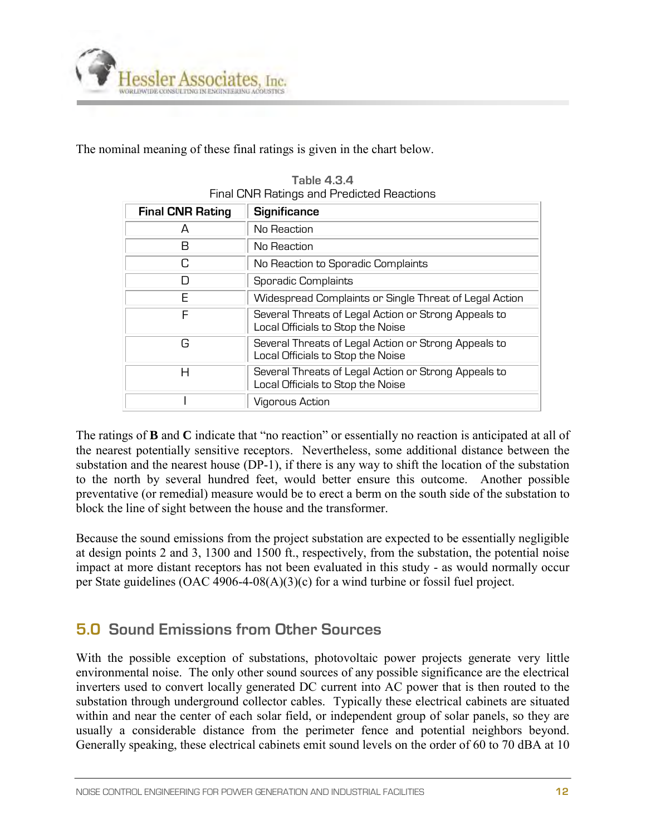

The nominal meaning of these final ratings is given in the chart below.

| <b>Final CNR Rating</b> | <b>Significance</b>                                                                       |
|-------------------------|-------------------------------------------------------------------------------------------|
| А                       | No Reaction                                                                               |
| В                       | No Reaction                                                                               |
| C                       | No Reaction to Sporadic Complaints                                                        |
|                         | Sporadic Complaints                                                                       |
| F                       | Widespread Complaints or Single Threat of Legal Action                                    |
| F                       | Several Threats of Legal Action or Strong Appeals to<br>Local Officials to Stop the Noise |
| G                       | Several Threats of Legal Action or Strong Appeals to<br>Local Officials to Stop the Noise |
| Н                       | Several Threats of Legal Action or Strong Appeals to<br>Local Officials to Stop the Noise |
|                         | Vigorous Action                                                                           |

**Table 4.3.4** Final CNR Ratings and Predicted Reactions

The ratings of **B** and **C** indicate that "no reaction" or essentially no reaction is anticipated at all of the nearest potentially sensitive receptors. Nevertheless, some additional distance between the substation and the nearest house (DP-1), if there is any way to shift the location of the substation to the north by several hundred feet, would better ensure this outcome. Another possible preventative (or remedial) measure would be to erect a berm on the south side of the substation to block the line of sight between the house and the transformer.

Because the sound emissions from the project substation are expected to be essentially negligible at design points 2 and 3, 1300 and 1500 ft., respectively, from the substation, the potential noise impact at more distant receptors has not been evaluated in this study - as would normally occur per State guidelines (OAC 4906-4-08(A)(3)(c) for a wind turbine or fossil fuel project.

## **5.0 Sound Emissions from Other Sources**

With the possible exception of substations, photovoltaic power projects generate very little environmental noise. The only other sound sources of any possible significance are the electrical inverters used to convert locally generated DC current into AC power that is then routed to the substation through underground collector cables. Typically these electrical cabinets are situated within and near the center of each solar field, or independent group of solar panels, so they are usually a considerable distance from the perimeter fence and potential neighbors beyond. Generally speaking, these electrical cabinets emit sound levels on the order of 60 to 70 dBA at 10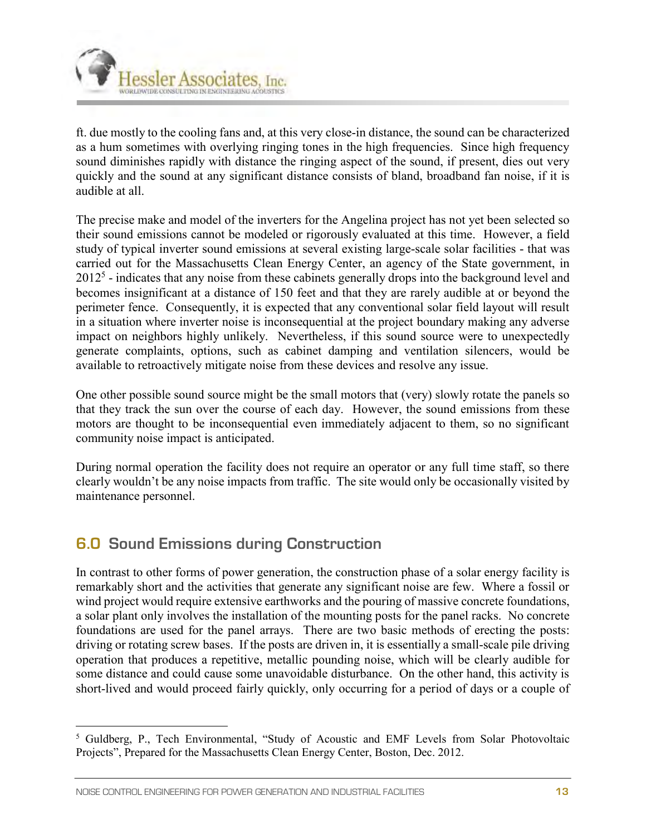

ft. due mostly to the cooling fans and, at this very close-in distance, the sound can be characterized as a hum sometimes with overlying ringing tones in the high frequencies. Since high frequency sound diminishes rapidly with distance the ringing aspect of the sound, if present, dies out very quickly and the sound at any significant distance consists of bland, broadband fan noise, if it is audible at all.

The precise make and model of the inverters for the Angelina project has not yet been selected so their sound emissions cannot be modeled or rigorously evaluated at this time. However, a field study of typical inverter sound emissions at several existing large-scale solar facilities - that was carried out for the Massachusetts Clean Energy Center, an agency of the State government, in  $2012<sup>5</sup>$  - indicates that any noise from these cabinets generally drops into the background level and becomes insignificant at a distance of 150 feet and that they are rarely audible at or beyond the perimeter fence. Consequently, it is expected that any conventional solar field layout will result in a situation where inverter noise is inconsequential at the project boundary making any adverse impact on neighbors highly unlikely. Nevertheless, if this sound source were to unexpectedly generate complaints, options, such as cabinet damping and ventilation silencers, would be available to retroactively mitigate noise from these devices and resolve any issue.

One other possible sound source might be the small motors that (very) slowly rotate the panels so that they track the sun over the course of each day. However, the sound emissions from these motors are thought to be inconsequential even immediately adjacent to them, so no significant community noise impact is anticipated.

During normal operation the facility does not require an operator or any full time staff, so there clearly wouldn't be any noise impacts from traffic. The site would only be occasionally visited by maintenance personnel.

## **6.0 Sound Emissions during Construction**

In contrast to other forms of power generation, the construction phase of a solar energy facility is remarkably short and the activities that generate any significant noise are few. Where a fossil or wind project would require extensive earthworks and the pouring of massive concrete foundations, a solar plant only involves the installation of the mounting posts for the panel racks. No concrete foundations are used for the panel arrays. There are two basic methods of erecting the posts: driving or rotating screw bases. If the posts are driven in, it is essentially a small-scale pile driving operation that produces a repetitive, metallic pounding noise, which will be clearly audible for some distance and could cause some unavoidable disturbance. On the other hand, this activity is short-lived and would proceed fairly quickly, only occurring for a period of days or a couple of

 5 Guldberg, P., Tech Environmental, "Study of Acoustic and EMF Levels from Solar Photovoltaic Projects", Prepared for the Massachusetts Clean Energy Center, Boston, Dec. 2012.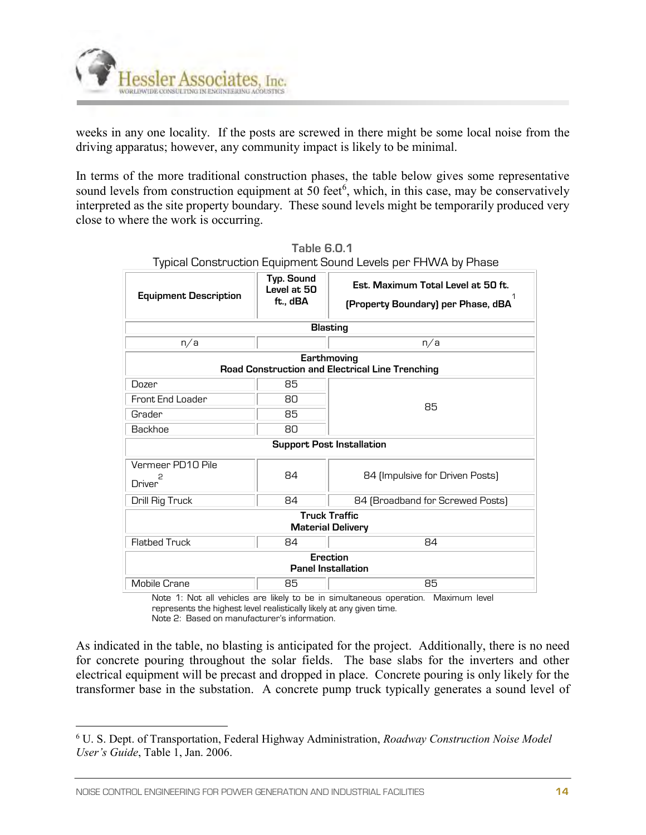

weeks in any one locality. If the posts are screwed in there might be some local noise from the driving apparatus; however, any community impact is likely to be minimal.

In terms of the more traditional construction phases, the table below gives some representative sound levels from construction equipment at 50 feet<sup>6</sup>, which, in this case, may be conservatively interpreted as the site property boundary. These sound levels might be temporarily produced very close to where the work is occurring.

|                                                                |                                       | r ypical Concel doelon Equipmente Codita Ectolo por Timeri by Filacc     |  |  |  |  |  |  |  |  |
|----------------------------------------------------------------|---------------------------------------|--------------------------------------------------------------------------|--|--|--|--|--|--|--|--|
| <b>Equipment Description</b>                                   | Typ. Sound<br>Level at 50<br>ft., dBA | Est. Maximum Total Level at 50 ft.<br>(Property Boundary) per Phase, dBA |  |  |  |  |  |  |  |  |
| <b>Blasting</b>                                                |                                       |                                                                          |  |  |  |  |  |  |  |  |
| n/a                                                            |                                       | n/a                                                                      |  |  |  |  |  |  |  |  |
| Earthmoving<br>Road Construction and Electrical Line Trenching |                                       |                                                                          |  |  |  |  |  |  |  |  |
| Dozer                                                          | 85                                    |                                                                          |  |  |  |  |  |  |  |  |
| Front End Loader                                               | 80                                    | 85                                                                       |  |  |  |  |  |  |  |  |
| Grader                                                         | 85                                    |                                                                          |  |  |  |  |  |  |  |  |
| Backhoe                                                        | 80                                    |                                                                          |  |  |  |  |  |  |  |  |
| <b>Support Post Installation</b>                               |                                       |                                                                          |  |  |  |  |  |  |  |  |
| Vermeer PD10 Pile<br>Driver                                    | 84                                    | 84 (Impulsive for Driven Posts)                                          |  |  |  |  |  |  |  |  |
| Drill Rig Truck                                                | 84                                    | 84 (Broadband for Screwed Posts)                                         |  |  |  |  |  |  |  |  |
| <b>Truck Traffic</b><br><b>Material Delivery</b>               |                                       |                                                                          |  |  |  |  |  |  |  |  |
| <b>Flatbed Truck</b>                                           | 84                                    | 84                                                                       |  |  |  |  |  |  |  |  |
|                                                                | Erection<br><b>Panel Installation</b> |                                                                          |  |  |  |  |  |  |  |  |
| Mobile Crane                                                   | 85                                    | 85                                                                       |  |  |  |  |  |  |  |  |

**Table 6.0.1** Typical Construction Equipment Sound Levels per FHWA by Phase

Note 1: Not all vehicles are likely to be in simultaneous operation. Maximum level represents the highest level realistically likely at any given time.

Note 2: Based on manufacturer's information.

As indicated in the table, no blasting is anticipated for the project. Additionally, there is no need for concrete pouring throughout the solar fields. The base slabs for the inverters and other electrical equipment will be precast and dropped in place. Concrete pouring is only likely for the transformer base in the substation. A concrete pump truck typically generates a sound level of

 $\overline{a}$ 

<sup>6</sup> U. S. Dept. of Transportation, Federal Highway Administration, *Roadway Construction Noise Model User's Guide*, Table 1, Jan. 2006.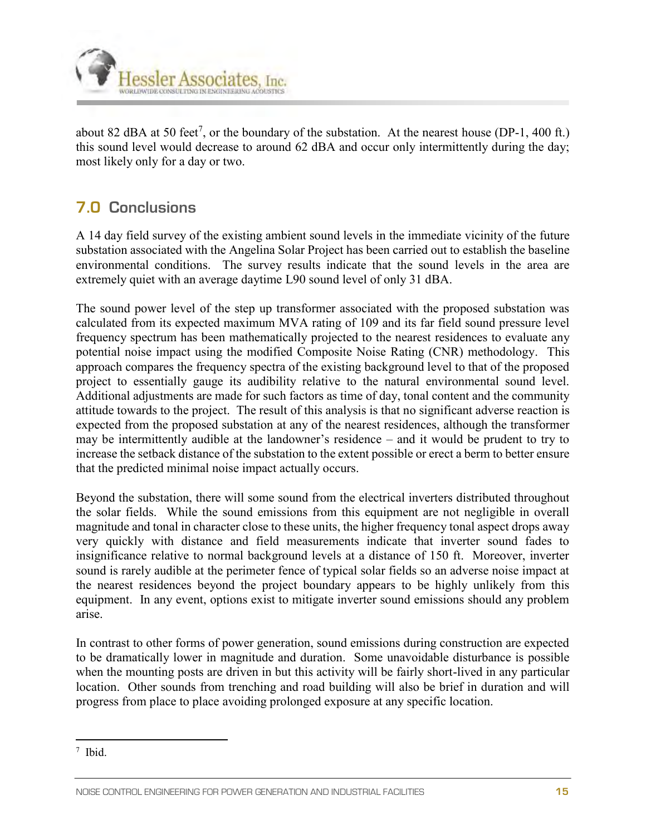

about 82 dBA at 50 feet<sup>7</sup>, or the boundary of the substation. At the nearest house (DP-1, 400 ft.) this sound level would decrease to around 62 dBA and occur only intermittently during the day; most likely only for a day or two.

## **7.0 Conclusions**

A 14 day field survey of the existing ambient sound levels in the immediate vicinity of the future substation associated with the Angelina Solar Project has been carried out to establish the baseline environmental conditions. The survey results indicate that the sound levels in the area are extremely quiet with an average daytime L90 sound level of only 31 dBA.

The sound power level of the step up transformer associated with the proposed substation was calculated from its expected maximum MVA rating of 109 and its far field sound pressure level frequency spectrum has been mathematically projected to the nearest residences to evaluate any potential noise impact using the modified Composite Noise Rating (CNR) methodology. This approach compares the frequency spectra of the existing background level to that of the proposed project to essentially gauge its audibility relative to the natural environmental sound level. Additional adjustments are made for such factors as time of day, tonal content and the community attitude towards to the project. The result of this analysis is that no significant adverse reaction is expected from the proposed substation at any of the nearest residences, although the transformer may be intermittently audible at the landowner's residence – and it would be prudent to try to increase the setback distance of the substation to the extent possible or erect a berm to better ensure that the predicted minimal noise impact actually occurs.

Beyond the substation, there will some sound from the electrical inverters distributed throughout the solar fields. While the sound emissions from this equipment are not negligible in overall magnitude and tonal in character close to these units, the higher frequency tonal aspect drops away very quickly with distance and field measurements indicate that inverter sound fades to insignificance relative to normal background levels at a distance of 150 ft. Moreover, inverter sound is rarely audible at the perimeter fence of typical solar fields so an adverse noise impact at the nearest residences beyond the project boundary appears to be highly unlikely from this equipment. In any event, options exist to mitigate inverter sound emissions should any problem arise.

In contrast to other forms of power generation, sound emissions during construction are expected to be dramatically lower in magnitude and duration. Some unavoidable disturbance is possible when the mounting posts are driven in but this activity will be fairly short-lived in any particular location. Other sounds from trenching and road building will also be brief in duration and will progress from place to place avoiding prolonged exposure at any specific location.

 $\overline{a}$ 7 Ibid.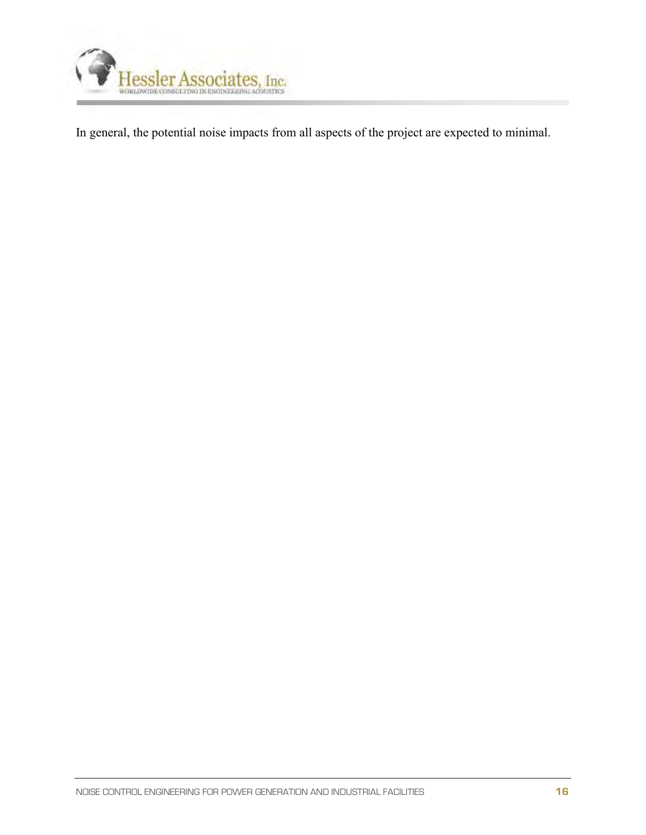

In general, the potential noise impacts from all aspects of the project are expected to minimal.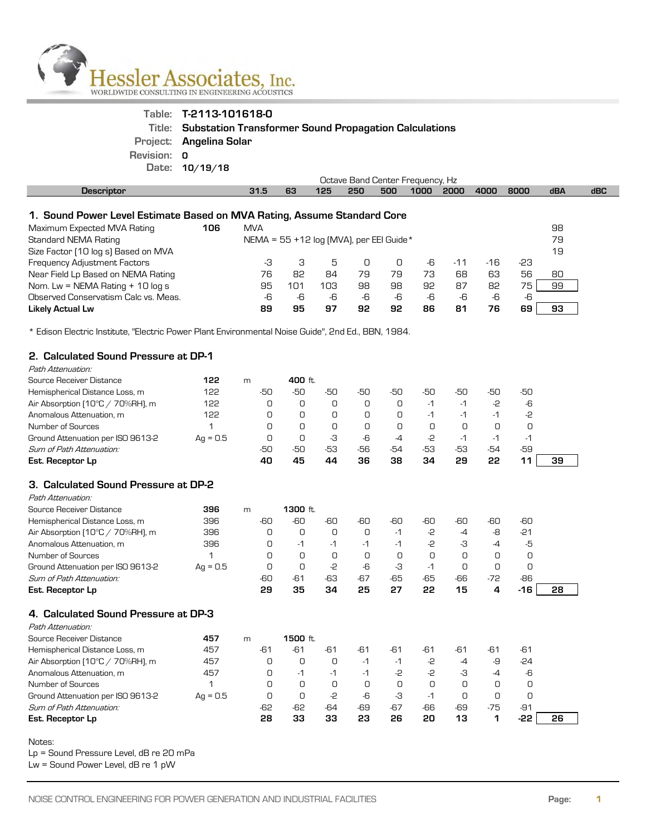

|             | Table: T-2113-101618-0                                       |
|-------------|--------------------------------------------------------------|
|             | Title: Substation Transformer Sound Propagation Calculations |
|             | Project: Angelina Solar                                      |
| Revision: 0 |                                                              |
|             | Date: 10/19/18                                               |

|                                                                         | Octave Band Center Frequency, Hz           |     |     |     |     |      |       |       |      |     |     |  |
|-------------------------------------------------------------------------|--------------------------------------------|-----|-----|-----|-----|------|-------|-------|------|-----|-----|--|
| <b>Descriptor</b>                                                       | 31.5                                       | 63  | 125 | 250 | 500 | 1000 | 2000  | 4000  | 8000 | dBA | dBC |  |
|                                                                         |                                            |     |     |     |     |      |       |       |      |     |     |  |
| 1. Sound Power Level Estimate Based on MVA Rating, Assume Standard Core |                                            |     |     |     |     |      |       |       |      |     |     |  |
| Maximum Expected MVA Rating<br>106                                      | <b>MVA</b>                                 |     |     |     |     |      |       |       |      | 98  |     |  |
| Standard NEMA Rating                                                    | NEMA = $55 + 12$ log (MVA), per EEI Guide* |     |     |     |     |      |       |       |      | 79  |     |  |
| Size Factor (10 log s) Based on MVA                                     |                                            |     |     |     |     |      |       |       |      | 19  |     |  |
| Frequency Adjustment Factors                                            | -3                                         | З   | 5   | U   | n   | -6   | $-11$ | $-16$ | -23  |     |     |  |
| Near Field Lp Based on NEMA Rating                                      | 76                                         | 82  | 84  | 79  | 79  | 73   | 68    | 63    | 56   | 80  |     |  |
| Nom. Lw = NEMA Rating $+$ 10 log s                                      | 95                                         | 101 | 103 | 98  | 98  | 92   | 87    | 82    | 75   | 99  |     |  |
| Observed Conservatism Calc vs. Meas.                                    | -6                                         | -6  | -6  | -6  | -6  | -6   | -6    | -6    | -6   |     |     |  |
| <b>Likely Actual Lw</b>                                                 | 89                                         | 95  | 97  | 92  | 92  | 86   | 81    | 76    | 69   | 93  |     |  |

\* Edison Electric Institute, "Electric Power Plant Environmental Noise Guide", 2nd Ed., BBN, 1984.

#### **2. Calculated Sound Pressure at DP-1**  Path Attenuation:

| Source Receiver Distance                  | 122        | m   | 400 ft. |        |     |     |     |      |      |      |    |
|-------------------------------------------|------------|-----|---------|--------|-----|-----|-----|------|------|------|----|
| Hemispherical Distance Loss, m            | 122        | -50 | -50     | -50    | -50 | -50 | -50 | -50  | -50  | -50  |    |
| Air Absorption $10^{\circ}$ C / 70%RH), m | 122        |     |         |        | O   |     | -1  | $-1$ | -2   | -6   |    |
| Anomalous Attenuation, m                  | 122        |     |         | $\Box$ | 0   |     | -1  | $-1$ | -1   | -2   |    |
| Number of Sources                         |            |     |         | 0      | 0   |     |     |      |      |      |    |
| Ground Attenuation per ISO 9613-2         | $Aq = 0.5$ |     |         | -3     | -6  | -4  | -2  | $-1$ | $-1$ | $-1$ |    |
| Sum of Path Attenuation:                  |            | -50 | -50     | -53    | -56 | -54 | -53 | -53  | -54  | -59  |    |
| Est. Receptor Lp                          |            | 40  | 45      | 44     | 36  | 38  | 34  | 29   | 22   | 11   | 39 |
|                                           |            |     |         |        |     |     |     |      |      |      |    |

#### **3. Calculated Sound Pressure at DP-2** Path Attenuation:

| - 011   ALLEHUOLIUI I.                    |            |     |          |     |       |      |     |     |       |       |    |
|-------------------------------------------|------------|-----|----------|-----|-------|------|-----|-----|-------|-------|----|
| Source Receiver Distance                  | 396        | m   | 1300 ft. |     |       |      |     |     |       |       |    |
| Hemispherical Distance Loss, m            | 396        | -60 | -60      | -60 | -60   | -60  | -60 | -60 | -60   | -60   |    |
| Air Absorption $10^{\circ}$ C / 70%RH), m | 396        |     |          |     | 0     | $-1$ | -2  | -4  | -8    | $-21$ |    |
| Anomalous Attenuation, m                  | 396        |     | -1       | -1  | $-1$  | $-1$ | -2  | -3  | $-4$  | -5    |    |
| Number of Sources                         |            |     |          |     | 0     |      |     |     |       |       |    |
| Ground Attenuation per ISO 9613-2         | $Aq = 0.5$ |     | 0        | -2  | -6    | -3   | -1  |     |       |       |    |
| Sum of Path Attenuation:                  |            | -60 | -61      | -63 | $-67$ | -65  | -65 | -66 | $-72$ | -86   |    |
| Est. Receptor Lp                          |            | 29  | 35       | 34  | 25    | 27   | 22  | 15  | 4     | -16   | 28 |
|                                           |            |     |          |     |       |      |     |     |       |       |    |

#### **4. Calculated Sound Pressure at DP-3**

| Path Attenuation:                         |            |       |          |     |      |       |     |     |       |       |    |
|-------------------------------------------|------------|-------|----------|-----|------|-------|-----|-----|-------|-------|----|
| Source Receiver Distance                  | 457        | m     | 1500 ft. |     |      |       |     |     |       |       |    |
| Hemispherical Distance Loss, m            | 457        | $-61$ | -61      | -61 | -61  | -61   | -61 | -61 | -61   | -61   |    |
| Air Absorption $10^{\circ}$ C / 70%RH), m | 457        |       | О        |     | $-1$ | $-1$  | -2  | -4  | -9    | $-24$ |    |
| Anomalous Attenuation, m                  | 457        |       | $-1$     | -1  | $-1$ | -2    | -2  | -3  | -4    | -6    |    |
| Number of Sources                         |            |       | О        |     | О    | Ο     |     |     | Ο     | O     |    |
| Ground Attenuation per ISO 9613-2         | $Aq = 0.5$ |       | О        | -2  | -6   | -3    | -1  |     | Ο     | 0     |    |
| Sum of Path Attenuation:                  |            | -62   | -62      | -64 | -69  | $-67$ | -66 | -69 | $-75$ | -91   |    |
| Est. Receptor Lp                          |            | 28    | 33       | 33  | 23   | 26    | 20  | 13  |       | -22   | 26 |

#### Notes:

Lp = Sound Pressure Level, dB re 20 mPa

Lw = Sound Power Level, dB re 1 pW